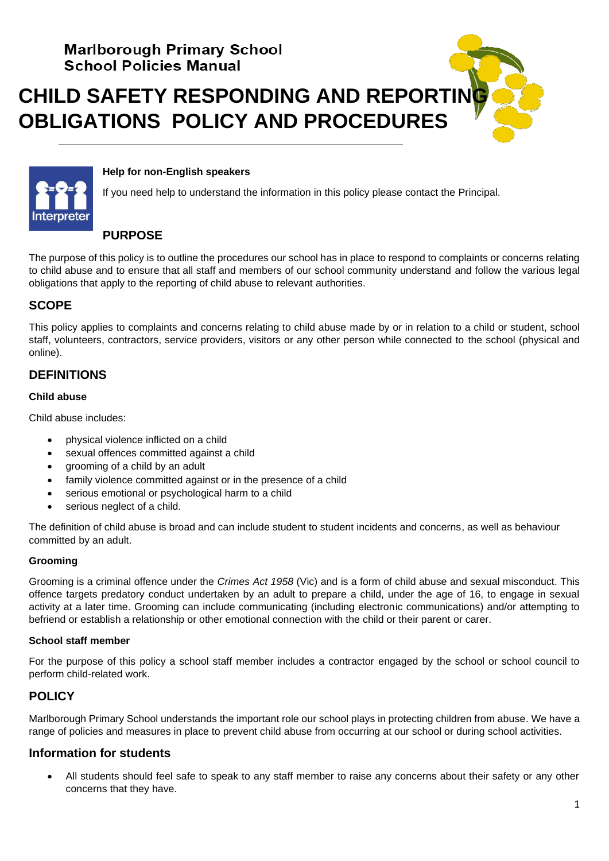# **CHILD SAFETY RESPONDING AND REPORTIN OBLIGATIONS POLICY AND PROCEDURES**



#### **Help for non-English speakers**

If you need help to understand the information in this policy please contact the Principal.

## **PURPOSE**

The purpose of this policy is to outline the procedures our school has in place to respond to complaints or concerns relating to child abuse and to ensure that all staff and members of our school community understand and follow the various legal obligations that apply to the reporting of child abuse to relevant authorities.

# **SCOPE**

This policy applies to complaints and concerns relating to child abuse made by or in relation to a child or student, school staff, volunteers, contractors, service providers, visitors or any other person while connected to the school (physical and online).

# **DEFINITIONS**

#### **Child abuse**

Child abuse includes:

- physical violence inflicted on a child
- sexual offences committed against a child
- grooming of a child by an adult
- family violence committed against or in the presence of a child
- serious emotional or psychological harm to a child
- serious neglect of a child.

The definition of child abuse is broad and can include student to student incidents and concerns, as well as behaviour committed by an adult.

#### **Grooming**

Grooming is a criminal offence under the *Crimes Act 1958* (Vic) and is a form of child abuse and sexual misconduct. This offence targets predatory conduct undertaken by an adult to prepare a child, under the age of 16, to engage in sexual activity at a later time. Grooming can include communicating (including electronic communications) and/or attempting to befriend or establish a relationship or other emotional connection with the child or their parent or carer.

#### **School staff member**

For the purpose of this policy a school staff member includes a contractor engaged by the school or school council to perform child-related work.

# **POLICY**

Marlborough Primary School understands the important role our school plays in protecting children from abuse. We have a range of policies and measures in place to prevent child abuse from occurring at our school or during school activities.

## **Information for students**

• All students should feel safe to speak to any staff member to raise any concerns about their safety or any other concerns that they have.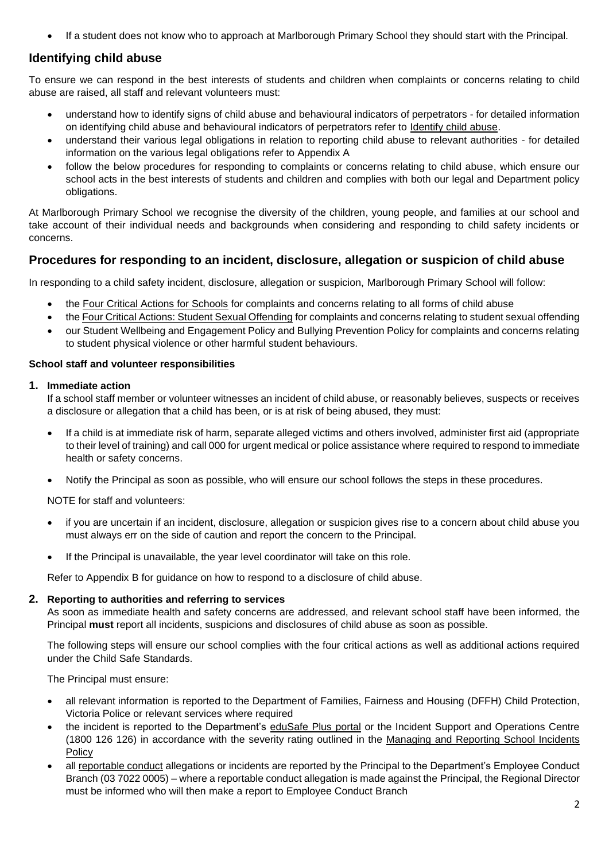• If a student does not know who to approach at Marlborough Primary School they should start with the Principal.

## **Identifying child abuse**

To ensure we can respond in the best interests of students and children when complaints or concerns relating to child abuse are raised, all staff and relevant volunteers must:

- understand how to identify signs of child abuse and behavioural indicators of perpetrators for detailed information on identifying child abuse and behavioural indicators of perpetrators refer to [Identify child abuse.](https://www.education.vic.gov.au/school/teachers/health/childprotection/Pages/identify.aspx)
- understand their various legal obligations in relation to reporting child abuse to relevant authorities for detailed information on the various legal obligations refer to Appendix A
- follow the below procedures for responding to complaints or concerns relating to child abuse, which ensure our school acts in the best interests of students and children and complies with both our legal and Department policy obligations.

At Marlborough Primary School we recognise the diversity of the children, young people, and families at our school and take account of their individual needs and backgrounds when considering and responding to child safety incidents or concerns.

# **Procedures for responding to an incident, disclosure, allegation or suspicion of child abuse**

In responding to a child safety incident, disclosure, allegation or suspicion, Marlborough Primary School will follow:

- the [Four Critical Actions for Schools](https://www.education.vic.gov.au/Documents/about/programs/health/protect/FourCriticalActions_ChildAbuse.pdf) for complaints and concerns relating to all forms of child abuse
- th[e Four Critical Actions: Student Sexual Offending](https://www.education.vic.gov.au/school/teachers/health/childprotection/Pages/stusexual.aspx) for complaints and concerns relating to student sexual offending
- our Student Wellbeing and Engagement Policy and Bullying Prevention Policy for complaints and concerns relating to student physical violence or other harmful student behaviours.

#### **School staff and volunteer responsibilities**

#### **1. Immediate action**

If a school staff member or volunteer witnesses an incident of child abuse, or reasonably believes, suspects or receives a disclosure or allegation that a child has been, or is at risk of being abused, they must:

- If a child is at immediate risk of harm, separate alleged victims and others involved, administer first aid (appropriate to their level of training) and call 000 for urgent medical or police assistance where required to respond to immediate health or safety concerns.
- Notify the Principal as soon as possible, who will ensure our school follows the steps in these procedures.

NOTE for staff and volunteers:

- if you are uncertain if an incident, disclosure, allegation or suspicion gives rise to a concern about child abuse you must always err on the side of caution and report the concern to the Principal.
- If the Principal is unavailable, the year level coordinator will take on this role.

Refer to Appendix B for guidance on how to respond to a disclosure of child abuse.

#### **2. Reporting to authorities and referring to services**

As soon as immediate health and safety concerns are addressed, and relevant school staff have been informed, the Principal **must** report all incidents, suspicions and disclosures of child abuse as soon as possible.

The following steps will ensure our school complies with the four critical actions as well as additional actions required under the Child Safe Standards.

The Principal must ensure:

- all relevant information is reported to the Department of Families, Fairness and Housing (DFFH) Child Protection, Victoria Police or relevant services where required
- the incident is reported to the Department's [eduSafe Plus portal](https://services.educationapps.vic.gov.au/edusafeplus) or the Incident Support and Operations Centre (1800 126 126) in accordance with the severity rating outlined in the [Managing and Reporting School Incidents](https://www2.education.vic.gov.au/pal/reporting-and-managing-school-incidents-including-emergencies/policy)  **[Policy](https://www2.education.vic.gov.au/pal/reporting-and-managing-school-incidents-including-emergencies/policy)**
- all [reportable conduct](https://www2.education.vic.gov.au/pal/reportable-conduct-scheme/policy) allegations or incidents are reported by the Principal to the Department's Employee Conduct Branch (03 7022 0005) – where a reportable conduct allegation is made against the Principal, the Regional Director must be informed who will then make a report to Employee Conduct Branch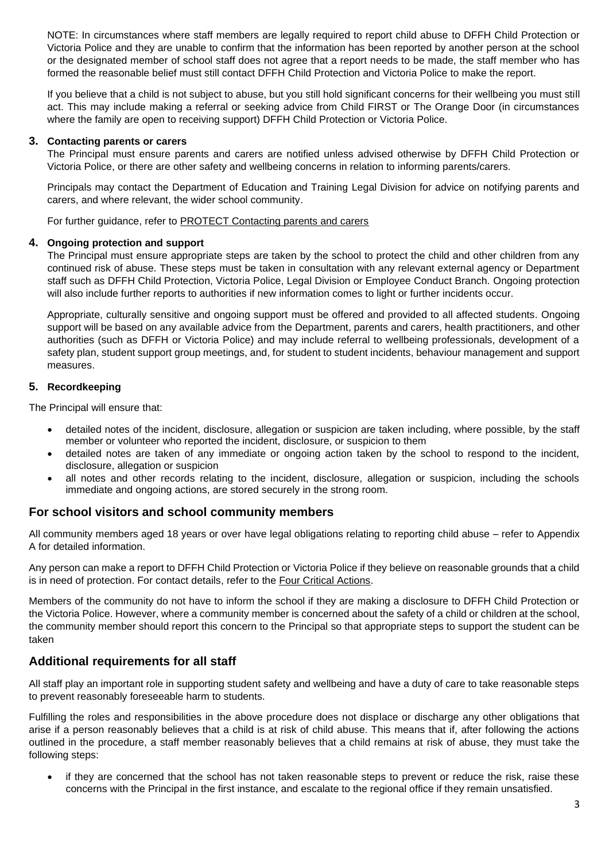NOTE: In circumstances where staff members are legally required to report child abuse to DFFH Child Protection or Victoria Police and they are unable to confirm that the information has been reported by another person at the school or the designated member of school staff does not agree that a report needs to be made, the staff member who has formed the reasonable belief must still contact DFFH Child Protection and Victoria Police to make the report.

If you believe that a child is not subject to abuse, but you still hold significant concerns for their wellbeing you must still act. This may include making a referral or seeking advice from Child FIRST or The Orange Door (in circumstances where the family are open to receiving support) DFFH Child Protection or Victoria Police.

#### **3. Contacting parents or carers**

The Principal must ensure parents and carers are notified unless advised otherwise by DFFH Child Protection or Victoria Police, or there are other safety and wellbeing concerns in relation to informing parents/carers.

Principals may contact the Department of Education and Training Legal Division for advice on notifying parents and carers, and where relevant, the wider school community.

For further guidance, refer to [PROTECT Contacting parents and carers](https://www.education.vic.gov.au/school/teachers/health/childprotection/Pages/actionthree.aspx)

## **4. Ongoing protection and support**

The Principal must ensure appropriate steps are taken by the school to protect the child and other children from any continued risk of abuse. These steps must be taken in consultation with any relevant external agency or Department staff such as DFFH Child Protection, Victoria Police, Legal Division or Employee Conduct Branch. Ongoing protection will also include further reports to authorities if new information comes to light or further incidents occur.

Appropriate, culturally sensitive and ongoing support must be offered and provided to all affected students. Ongoing support will be based on any available advice from the Department, parents and carers, health practitioners, and other authorities (such as DFFH or Victoria Police) and may include referral to wellbeing professionals, development of a safety plan, student support group meetings, and, for student to student incidents, behaviour management and support measures.

## **5. Recordkeeping**

The Principal will ensure that:

- detailed notes of the incident, disclosure, allegation or suspicion are taken including, where possible, by the staff member or volunteer who reported the incident, disclosure, or suspicion to them
- detailed notes are taken of any immediate or ongoing action taken by the school to respond to the incident, disclosure, allegation or suspicion
- all notes and other records relating to the incident, disclosure, allegation or suspicion, including the schools immediate and ongoing actions, are stored securely in the strong room.

## **For school visitors and school community members**

All community members aged 18 years or over have legal obligations relating to reporting child abuse – refer to Appendix A for detailed information.

Any person can make a report to DFFH Child Protection or Victoria Police if they believe on reasonable grounds that a child is in need of protection. For contact details, refer to the [Four Critical Actions.](https://www.education.vic.gov.au/Documents/about/programs/health/protect/FourCriticalActions_ChildAbuse.pdf)

Members of the community do not have to inform the school if they are making a disclosure to DFFH Child Protection or the Victoria Police. However, where a community member is concerned about the safety of a child or children at the school, the community member should report this concern to the Principal so that appropriate steps to support the student can be taken

# **Additional requirements for all staff**

All staff play an important role in supporting student safety and wellbeing and have a duty of care to take reasonable steps to prevent reasonably foreseeable harm to students.

Fulfilling the roles and responsibilities in the above procedure does not displace or discharge any other obligations that arise if a person reasonably believes that a child is at risk of child abuse. This means that if, after following the actions outlined in the procedure, a staff member reasonably believes that a child remains at risk of abuse, they must take the following steps:

if they are concerned that the school has not taken reasonable steps to prevent or reduce the risk, raise these concerns with the Principal in the first instance, and escalate to the regional office if they remain unsatisfied.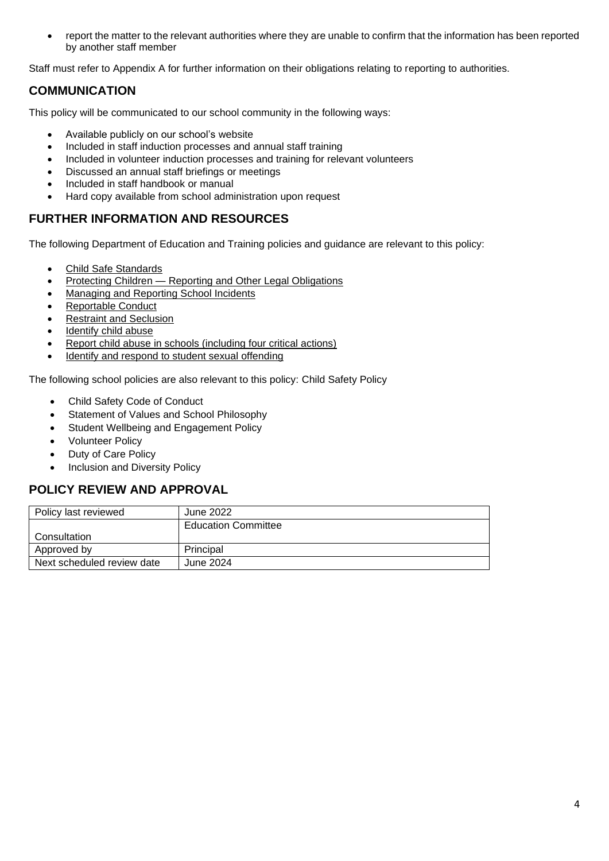• report the matter to the relevant authorities where they are unable to confirm that the information has been reported by another staff member

Staff must refer to Appendix A for further information on their obligations relating to reporting to authorities.

# **COMMUNICATION**

This policy will be communicated to our school community in the following ways:

- Available publicly on our school's website
- Included in staff induction processes and annual staff training
- Included in volunteer induction processes and training for relevant volunteers
- Discussed an annual staff briefings or meetings
- Included in staff handbook or manual
- Hard copy available from school administration upon request

# **FURTHER INFORMATION AND RESOURCES**

The following Department of Education and Training policies and guidance are relevant to this policy:

- [Child Safe Standards](https://www2.education.vic.gov.au/pal/child-safe-standards/policy)
- Protecting Children [Reporting and Other Legal Obligations](https://www2.education.vic.gov.au/pal/protecting-children/policy)
- [Managing and Reporting School Incidents](https://www2.education.vic.gov.au/pal/reporting-and-managing-school-incidents-including-emergencies/policy)
- [Reportable Conduct](https://www2.education.vic.gov.au/pal/reportable-conduct-scheme/policy)
- [Restraint and Seclusion](https://www2.education.vic.gov.au/pal/restraint-seclusion/policy)
- [Identify child abuse](https://www.education.vic.gov.au/school/teachers/health/childprotection/Pages/identify.aspx)
- [Report child abuse in schools \(including four critical actions\)](https://www.education.vic.gov.au/school/teachers/health/childprotection/Pages/report.aspx)
- [Identify and respond to student sexual offending](https://www.education.vic.gov.au/school/teachers/health/childprotection/Pages/stusexual.aspx)

The following school policies are also relevant to this policy: Child Safety Policy

- Child Safety Code of Conduct
- Statement of Values and School Philosophy
- Student Wellbeing and Engagement Policy
- Volunteer Policy
- Duty of Care Policy
- Inclusion and Diversity Policy

# **POLICY REVIEW AND APPROVAL**

| Policy last reviewed       | June 2022                  |
|----------------------------|----------------------------|
|                            | <b>Education Committee</b> |
| Consultation               |                            |
| Approved by                | Principal                  |
| Next scheduled review date | June 2024                  |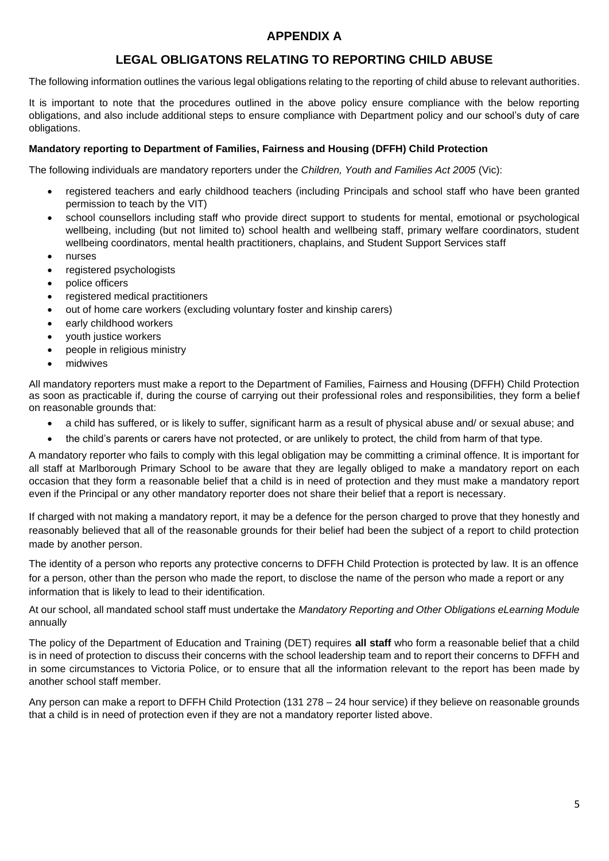# **APPENDIX A**

# **LEGAL OBLIGATONS RELATING TO REPORTING CHILD ABUSE**

The following information outlines the various legal obligations relating to the reporting of child abuse to relevant authorities.

It is important to note that the procedures outlined in the above policy ensure compliance with the below reporting obligations, and also include additional steps to ensure compliance with Department policy and our school's duty of care obligations.

#### **Mandatory reporting to Department of Families, Fairness and Housing (DFFH) Child Protection**

The following individuals are mandatory reporters under the *Children, Youth and Families Act 2005* (Vic):

- registered teachers and early childhood teachers (including Principals and school staff who have been granted permission to teach by the VIT)
- school counsellors including staff who provide direct support to students for mental, emotional or psychological wellbeing, including (but not limited to) school health and wellbeing staff, primary welfare coordinators, student wellbeing coordinators, mental health practitioners, chaplains, and Student Support Services staff
- nurses
- registered psychologists
- police officers
- registered medical practitioners
- out of home care workers (excluding voluntary foster and kinship carers)
- early childhood workers
- youth justice workers
- people in religious ministry
- midwives

All mandatory reporters must make a report to the Department of Families, Fairness and Housing (DFFH) Child Protection as soon as practicable if, during the course of carrying out their professional roles and responsibilities, they form a belief on reasonable grounds that:

- a child has suffered, or is likely to suffer, significant harm as a result of physical abuse and/ or sexual abuse; and
- the child's parents or carers have not protected, or are unlikely to protect, the child from harm of that type.

A mandatory reporter who fails to comply with this legal obligation may be committing a criminal offence. It is important for all staff at Marlborough Primary School to be aware that they are legally obliged to make a mandatory report on each occasion that they form a reasonable belief that a child is in need of protection and they must make a mandatory report even if the Principal or any other mandatory reporter does not share their belief that a report is necessary.

If charged with not making a mandatory report, it may be a defence for the person charged to prove that they honestly and reasonably believed that all of the reasonable grounds for their belief had been the subject of a report to child protection made by another person.

The identity of a person who reports any protective concerns to DFFH Child Protection is protected by law. It is an offence for a person, other than the person who made the report, to disclose the name of the person who made a report or any information that is likely to lead to their identification.

At our school, all mandated school staff must undertake the *Mandatory Reporting and Other Obligations eLearning Module*  annually

The policy of the Department of Education and Training (DET) requires **all staff** who form a reasonable belief that a child is in need of protection to discuss their concerns with the school leadership team and to report their concerns to DFFH and in some circumstances to Victoria Police, or to ensure that all the information relevant to the report has been made by another school staff member.

Any person can make a report to DFFH Child Protection (131 278 – 24 hour service) if they believe on reasonable grounds that a child is in need of protection even if they are not a mandatory reporter listed above.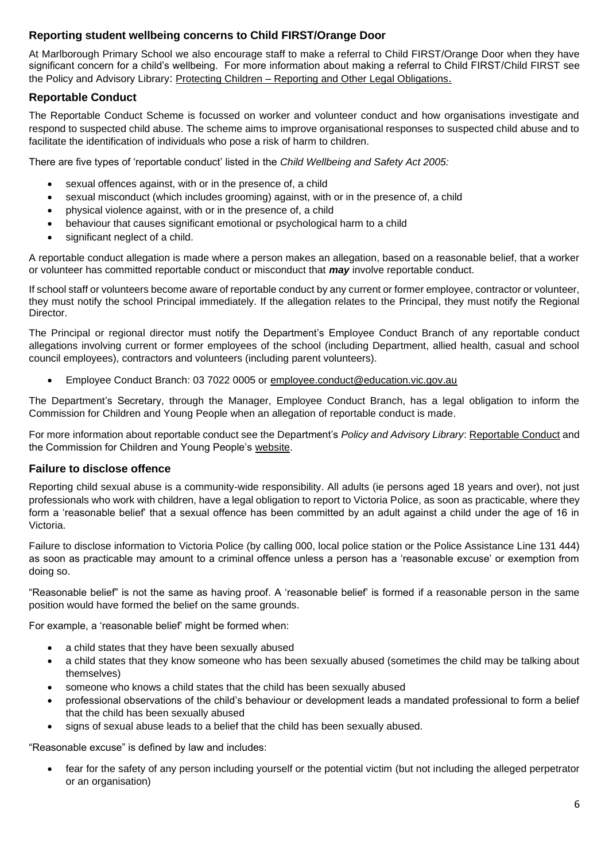## **Reporting student wellbeing concerns to Child FIRST/Orange Door**

At Marlborough Primary School we also encourage staff to make a referral to Child FIRST/Orange Door when they have significant concern for a child's wellbeing. For more information about making a referral to Child FIRST/Child FIRST see the Policy and Advisory Library: Protecting Children - [Reporting and Other Legal Obligations](https://www2.education.vic.gov.au/pal/protecting-children/policy).

## **Reportable Conduct**

The Reportable Conduct Scheme is focussed on worker and volunteer conduct and how organisations investigate and respond to suspected child abuse. The scheme aims to improve organisational responses to suspected child abuse and to facilitate the identification of individuals who pose a risk of harm to children.

There are five types of 'reportable conduct' listed in the *Child Wellbeing and Safety Act 2005:*

- sexual offences against, with or in the presence of, a child
- sexual misconduct (which includes grooming) against, with or in the presence of, a child
- physical violence against, with or in the presence of, a child
- behaviour that causes significant emotional or psychological harm to a child
- significant neglect of a child.

A reportable conduct allegation is made where a person makes an allegation, based on a reasonable belief, that a worker or volunteer has committed reportable conduct or misconduct that *may* involve reportable conduct.

If school staff or volunteers become aware of reportable conduct by any current or former employee, contractor or volunteer, they must notify the school Principal immediately. If the allegation relates to the Principal, they must notify the Regional Director.

The Principal or regional director must notify the Department's Employee Conduct Branch of any reportable conduct allegations involving current or former employees of the school (including Department, allied health, casual and school council employees), contractors and volunteers (including parent volunteers).

• Employee Conduct Branch: 03 7022 0005 or [employee.conduct@education.vic.gov.au](mailto:employee.conduct@education.vic.gov.au)

The Department's Secretary, through the Manager, Employee Conduct Branch, has a legal obligation to inform the Commission for Children and Young People when an allegation of reportable conduct is made.

For more information about reportable conduct see the Department's *Policy and Advisory Library*: [Reportable Conduct](https://www2.education.vic.gov.au/pal/reportable-conduct-scheme/policy) and the Commission for Children and Young People's [website.](https://ccyp.vic.gov.au/reportable-conduct-scheme/)

## **Failure to disclose offence**

Reporting child sexual abuse is a community-wide responsibility. All adults (ie persons aged 18 years and over), not just professionals who work with children, have a legal obligation to report to Victoria Police, as soon as practicable, where they form a 'reasonable belief' that a sexual offence has been committed by an adult against a child under the age of 16 in Victoria.

Failure to disclose information to Victoria Police (by calling 000, local police station or the Police Assistance Line 131 444) as soon as practicable may amount to a criminal offence unless a person has a 'reasonable excuse' or exemption from doing so.

"Reasonable belief" is not the same as having proof. A 'reasonable belief' is formed if a reasonable person in the same position would have formed the belief on the same grounds.

For example, a 'reasonable belief' might be formed when:

- a child states that they have been sexually abused
- a child states that they know someone who has been sexually abused (sometimes the child may be talking about themselves)
- someone who knows a child states that the child has been sexually abused
- professional observations of the child's behaviour or development leads a mandated professional to form a belief that the child has been sexually abused
- signs of sexual abuse leads to a belief that the child has been sexually abused.

"Reasonable excuse" is defined by law and includes:

• fear for the safety of any person including yourself or the potential victim (but not including the alleged perpetrator or an organisation)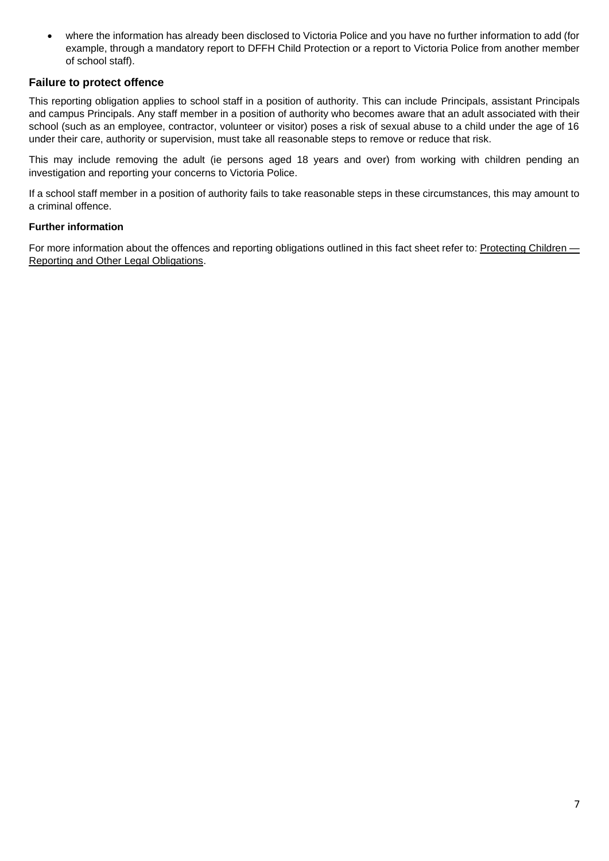• where the information has already been disclosed to Victoria Police and you have no further information to add (for example, through a mandatory report to DFFH Child Protection or a report to Victoria Police from another member of school staff).

## **Failure to protect offence**

This reporting obligation applies to school staff in a position of authority. This can include Principals, assistant Principals and campus Principals. Any staff member in a position of authority who becomes aware that an adult associated with their school (such as an employee, contractor, volunteer or visitor) poses a risk of sexual abuse to a child under the age of 16 under their care, authority or supervision, must take all reasonable steps to remove or reduce that risk.

This may include removing the adult (ie persons aged 18 years and over) from working with children pending an investigation and reporting your concerns to Victoria Police.

If a school staff member in a position of authority fails to take reasonable steps in these circumstances, this may amount to a criminal offence.

## **Further information**

For more information about the offences and reporting obligations outlined in this fact sheet refer to: [Protecting Children —](https://www2.education.vic.gov.au/pal/protecting-children/policy) [Reporting and Other Legal Obligations.](https://www2.education.vic.gov.au/pal/protecting-children/policy)